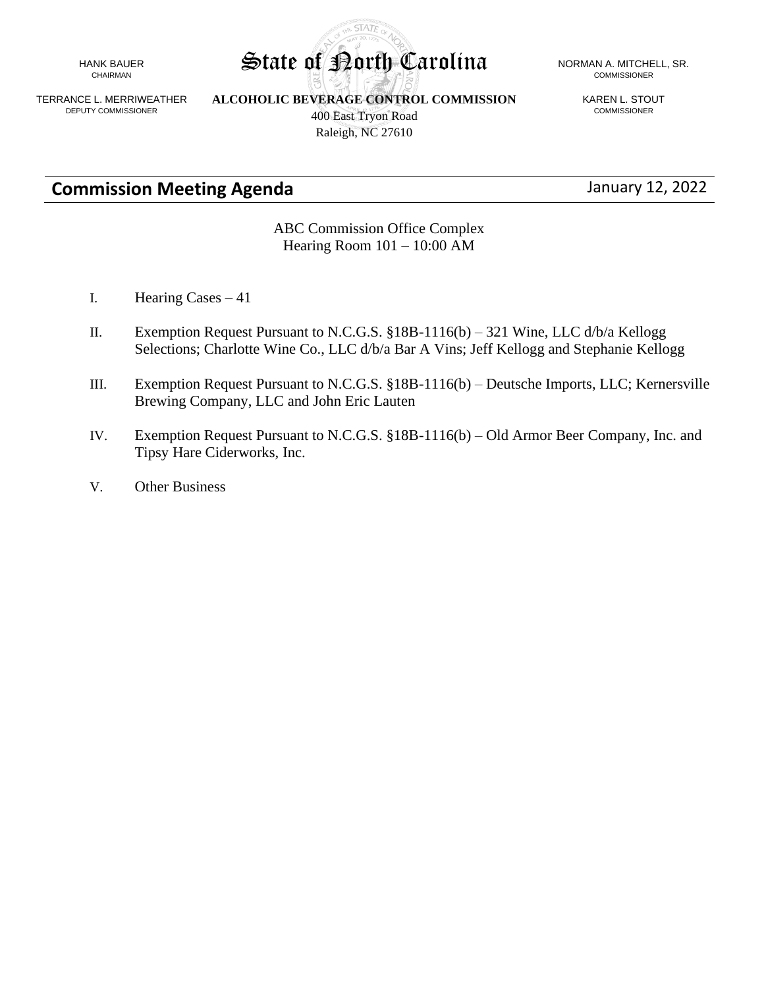HANK BAUER CHAIRMAN

TERRANCE L. MERRIWEATHER DEPUTY COMMISSIONER

**ALCOHOLIC BEVERAGE CONTROL COMMISSION** 400 East Tryon Road

**STATE** 

KAREN L. STOUT COMMISSIONER

**Commission Meeting Agenda** January 12, 2022

ABC Commission Office Complex Hearing Room 101 – 10:00 AM

- I. Hearing Cases 41
- II. Exemption Request Pursuant to N.C.G.S. §18B-1116(b) 321 Wine, LLC d/b/a Kellogg Selections; Charlotte Wine Co., LLC d/b/a Bar A Vins; Jeff Kellogg and Stephanie Kellogg
- III. Exemption Request Pursuant to N.C.G.S. §18B-1116(b) Deutsche Imports, LLC; Kernersville Brewing Company, LLC and John Eric Lauten
- IV. Exemption Request Pursuant to N.C.G.S. §18B-1116(b) Old Armor Beer Company, Inc. and Tipsy Hare Ciderworks, Inc.
- V. Other Business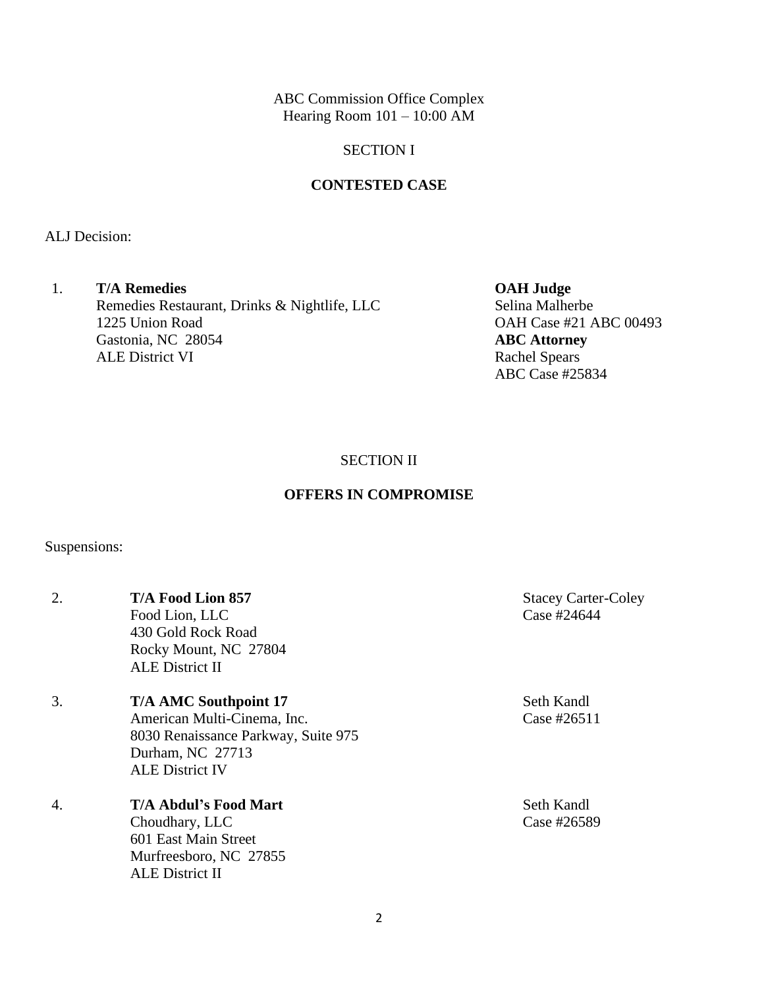ABC Commission Office Complex Hearing Room  $101 - 10:00$  AM

### SECTION I

### **CONTESTED CASE**

ALJ Decision:

## 1. **T/A Remedies OAH Judge** Remedies Restaurant, Drinks & Nightlife, LLC Selina Malherbe 1225 Union Road **OAH Case #21 ABC 00493** Gastonia, NC 28054 **ABC Attorney** ALE District VI Rachel Spears

ABC Case #25834

SECTION II

# **OFFERS IN COMPROMISE**

Suspensions:

| 2. | <b>T/A Food Lion 857</b><br>Food Lion, LLC<br>430 Gold Rock Road<br>Rocky Mount, NC 27804<br><b>ALE District II</b>                              | <b>Stacey Carter-Coley</b><br>Case #24644 |
|----|--------------------------------------------------------------------------------------------------------------------------------------------------|-------------------------------------------|
| 3. | <b>T/A AMC Southpoint 17</b><br>American Multi-Cinema, Inc.<br>8030 Renaissance Parkway, Suite 975<br>Durham, NC 27713<br><b>ALE District IV</b> | Seth Kandl<br>Case #26511                 |
| 4. | <b>T/A Abdul's Food Mart</b><br>Choudhary, LLC<br>601 East Main Street<br>Murfreesboro, NC 27855<br><b>ALE District II</b>                       | Seth Kandl<br>Case #26589                 |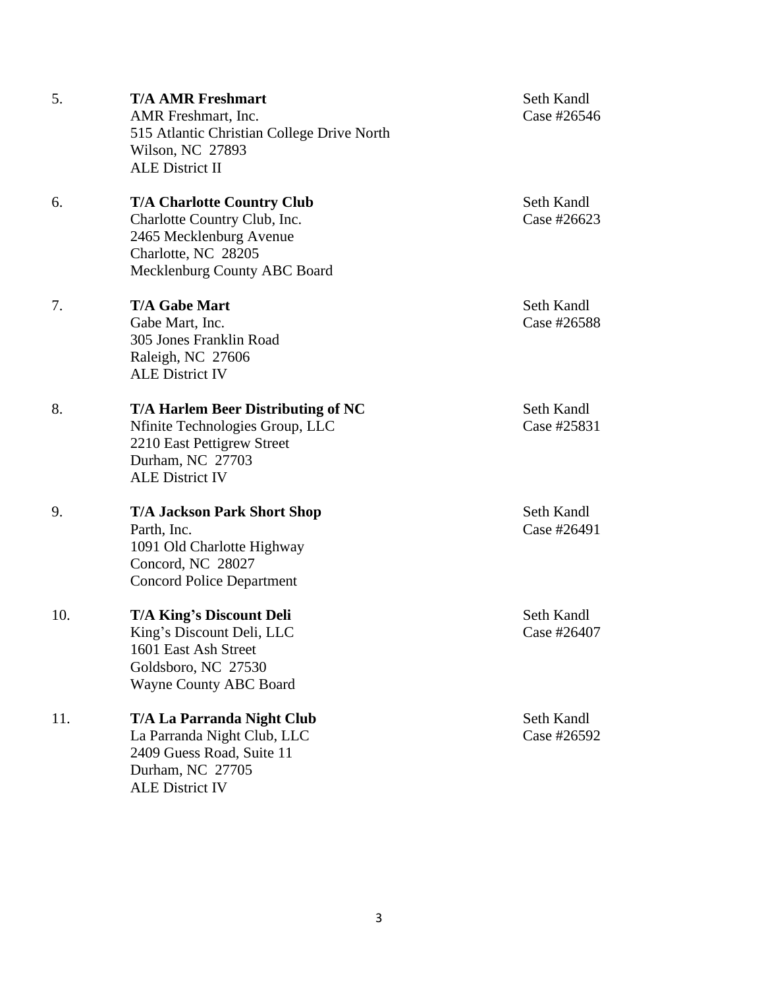| 5.  | <b>T/A AMR Freshmart</b><br>AMR Freshmart, Inc.<br>515 Atlantic Christian College Drive North<br>Wilson, NC 27893<br><b>ALE District II</b>         | Seth Kandl<br>Case #26546 |
|-----|-----------------------------------------------------------------------------------------------------------------------------------------------------|---------------------------|
| 6.  | <b>T/A Charlotte Country Club</b><br>Charlotte Country Club, Inc.<br>2465 Mecklenburg Avenue<br>Charlotte, NC 28205<br>Mecklenburg County ABC Board | Seth Kandl<br>Case #26623 |
| 7.  | <b>T/A Gabe Mart</b><br>Gabe Mart, Inc.<br>305 Jones Franklin Road<br>Raleigh, NC 27606<br><b>ALE District IV</b>                                   | Seth Kandl<br>Case #26588 |
| 8.  | T/A Harlem Beer Distributing of NC<br>Nfinite Technologies Group, LLC<br>2210 East Pettigrew Street<br>Durham, NC 27703<br><b>ALE District IV</b>   | Seth Kandl<br>Case #25831 |
| 9.  | <b>T/A Jackson Park Short Shop</b><br>Parth, Inc.<br>1091 Old Charlotte Highway<br>Concord, NC 28027<br><b>Concord Police Department</b>            | Seth Kandl<br>Case #26491 |
| 10. | <b>T/A King's Discount Deli</b><br>King's Discount Deli, LLC<br>1601 East Ash Street<br>Goldsboro, NC 27530<br><b>Wayne County ABC Board</b>        | Seth Kandl<br>Case #26407 |
| 11. | <b>T/A La Parranda Night Club</b><br>La Parranda Night Club, LLC<br>2409 Guess Road, Suite 11<br>Durham, NC 27705<br><b>ALE District IV</b>         | Seth Kandl<br>Case #26592 |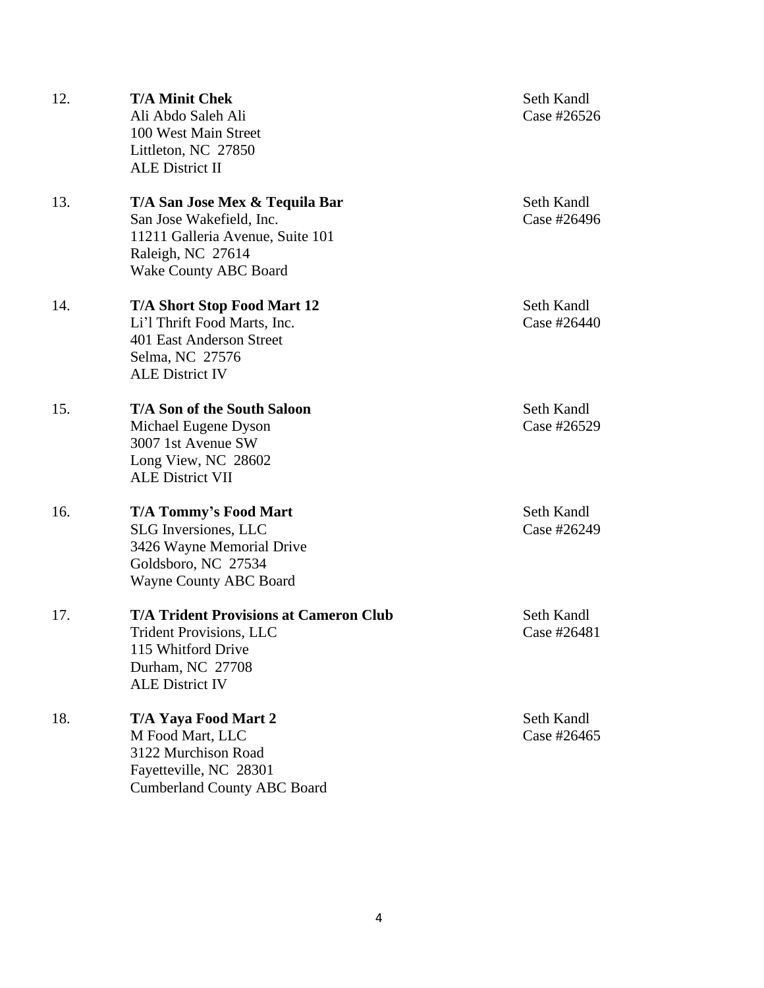| 12. | <b>T/A Minit Chek</b><br>Ali Abdo Saleh Ali<br>100 West Main Street<br>Littleton, NC 27850<br><b>ALE District II</b>                                | Seth Kandl<br>Case #26526 |
|-----|-----------------------------------------------------------------------------------------------------------------------------------------------------|---------------------------|
| 13. | T/A San Jose Mex & Tequila Bar<br>San Jose Wakefield, Inc.<br>11211 Galleria Avenue, Suite 101<br>Raleigh, NC 27614<br>Wake County ABC Board        | Seth Kandl<br>Case #26496 |
| 14. | <b>T/A Short Stop Food Mart 12</b><br>Li'l Thrift Food Marts, Inc.<br>401 East Anderson Street<br>Selma, NC 27576<br><b>ALE District IV</b>         | Seth Kandl<br>Case #26440 |
| 15. | <b>T/A Son of the South Saloon</b><br>Michael Eugene Dyson<br>3007 1st Avenue SW<br>Long View, NC 28602<br><b>ALE District VII</b>                  | Seth Kandl<br>Case #26529 |
| 16. | <b>T/A Tommy's Food Mart</b><br><b>SLG</b> Inversiones, LLC<br>3426 Wayne Memorial Drive<br>Goldsboro, NC 27534<br><b>Wayne County ABC Board</b>    | Seth Kandl<br>Case #26249 |
| 17. | <b>T/A Trident Provisions at Cameron Club</b><br><b>Trident Provisions, LLC</b><br>115 Whitford Drive<br>Durham, NC 27708<br><b>ALE District IV</b> | Seth Kandl<br>Case #26481 |
| 18. | T/A Yaya Food Mart 2<br>M Food Mart, LLC<br>3122 Murchison Road<br>Fayetteville, NC 28301<br><b>Cumberland County ABC Board</b>                     | Seth Kandl<br>Case #26465 |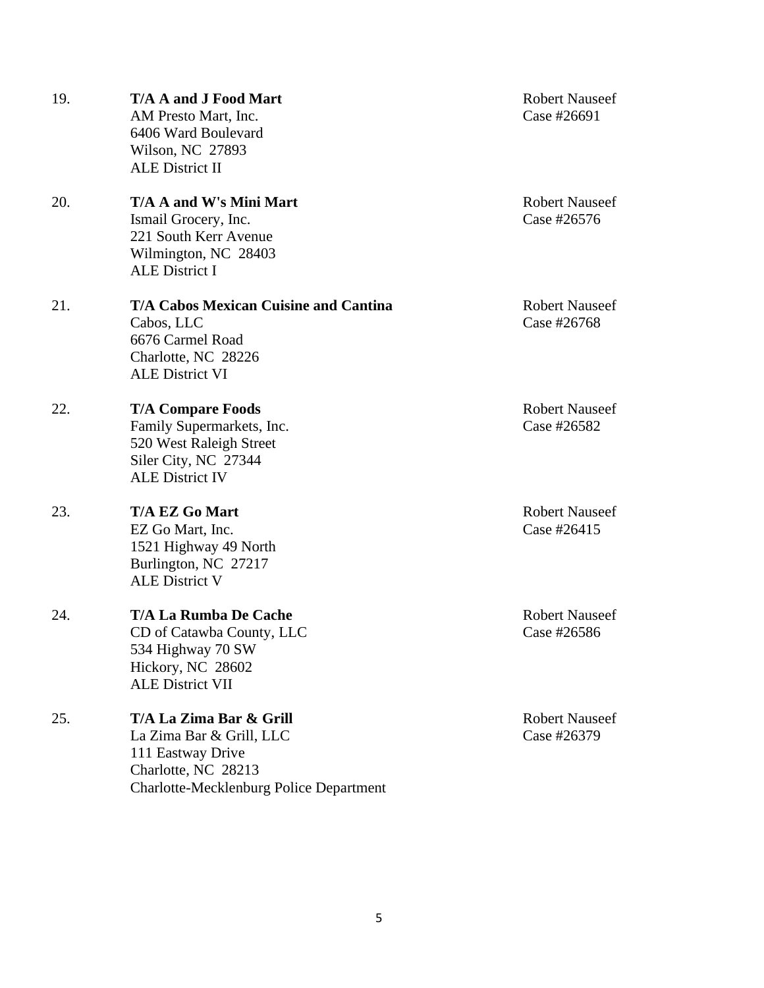| 19. | <b>T/A A and J Food Mart</b><br>AM Presto Mart, Inc.<br>6406 Ward Boulevard<br>Wilson, NC 27893<br><b>ALE District II</b>                         | <b>Robert Nauseef</b><br>Case #26691 |
|-----|---------------------------------------------------------------------------------------------------------------------------------------------------|--------------------------------------|
| 20. | T/A A and W's Mini Mart<br>Ismail Grocery, Inc.<br>221 South Kerr Avenue<br>Wilmington, NC 28403<br><b>ALE District I</b>                         | <b>Robert Nauseef</b><br>Case #26576 |
| 21. | <b>T/A Cabos Mexican Cuisine and Cantina</b><br>Cabos, LLC<br>6676 Carmel Road<br>Charlotte, NC 28226<br><b>ALE District VI</b>                   | <b>Robert Nauseef</b><br>Case #26768 |
| 22. | <b>T/A Compare Foods</b><br>Family Supermarkets, Inc.<br>520 West Raleigh Street<br>Siler City, NC 27344<br><b>ALE District IV</b>                | <b>Robert Nauseef</b><br>Case #26582 |
| 23. | <b>T/A EZ Go Mart</b><br>EZ Go Mart, Inc.<br>1521 Highway 49 North<br>Burlington, NC 27217<br><b>ALE District V</b>                               | <b>Robert Nauseef</b><br>Case #26415 |
| 24. | <b>T/A La Rumba De Cache</b><br>CD of Catawba County, LLC<br>534 Highway 70 SW<br>Hickory, NC 28602<br><b>ALE District VII</b>                    | <b>Robert Nauseef</b><br>Case #26586 |
| 25. | T/A La Zima Bar & Grill<br>La Zima Bar & Grill, LLC<br>111 Eastway Drive<br>Charlotte, NC 28213<br><b>Charlotte-Mecklenburg Police Department</b> | <b>Robert Nauseef</b><br>Case #26379 |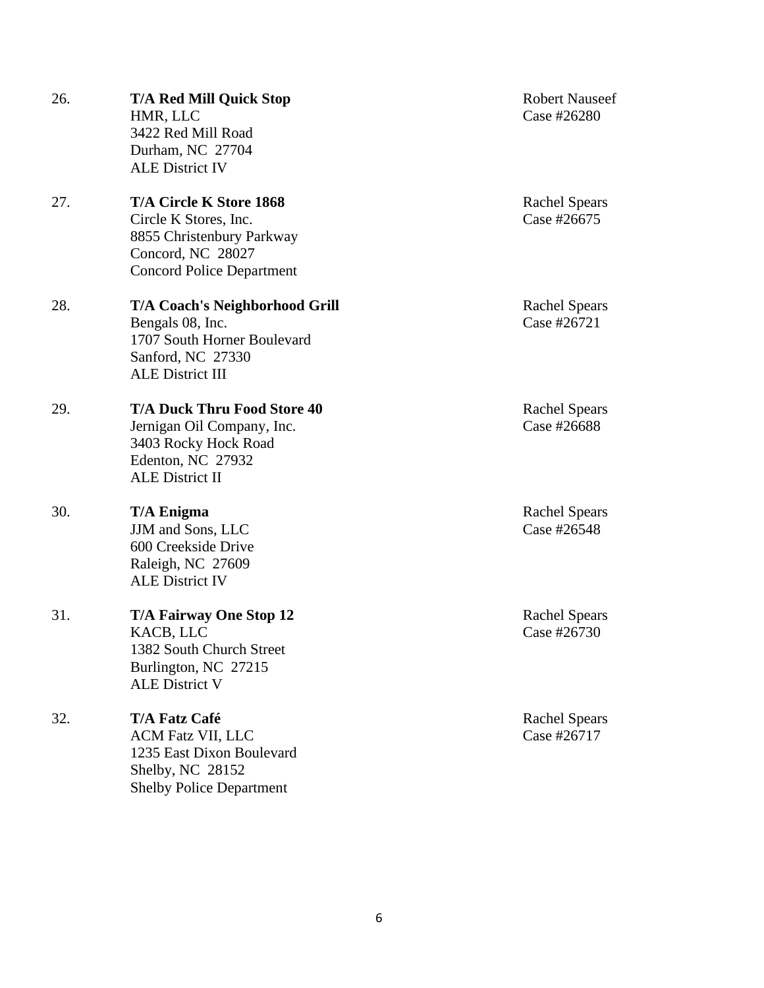26. T/A Red Mill Quick Stop Robert Nauseef HMR, LLC Case #26280 3422 Red Mill Road Durham, NC 27704 ALE District IV 27. **T/A Circle K Store 1868** Rachel Spears Circle K Stores, Inc. Case #26675 8855 Christenbury Parkway Concord, NC 28027 Concord Police Department 28. **T/A Coach's Neighborhood Grill** Rachel Spears Bengals 08, Inc. Case #26721 1707 South Horner Boulevard Sanford, NC 27330 ALE District III 29. **T/A Duck Thru Food Store 40** Rachel Spears Jernigan Oil Company, Inc. Case #26688 3403 Rocky Hock Road Edenton, NC 27932 ALE District II 30. **T/A Enigma** Rachel Spears JJM and Sons, LLC Case #26548 600 Creekside Drive Raleigh, NC 27609 ALE District IV 31. **T/A Fairway One Stop 12** Rachel Spears KACB, LLC Case #26730 1382 South Church Street Burlington, NC 27215 ALE District V 32. **T/A Fatz Café** Rachel Spears ACM Fatz VII, LLC Case #26717 1235 East Dixon Boulevard Shelby, NC 28152 Shelby Police Department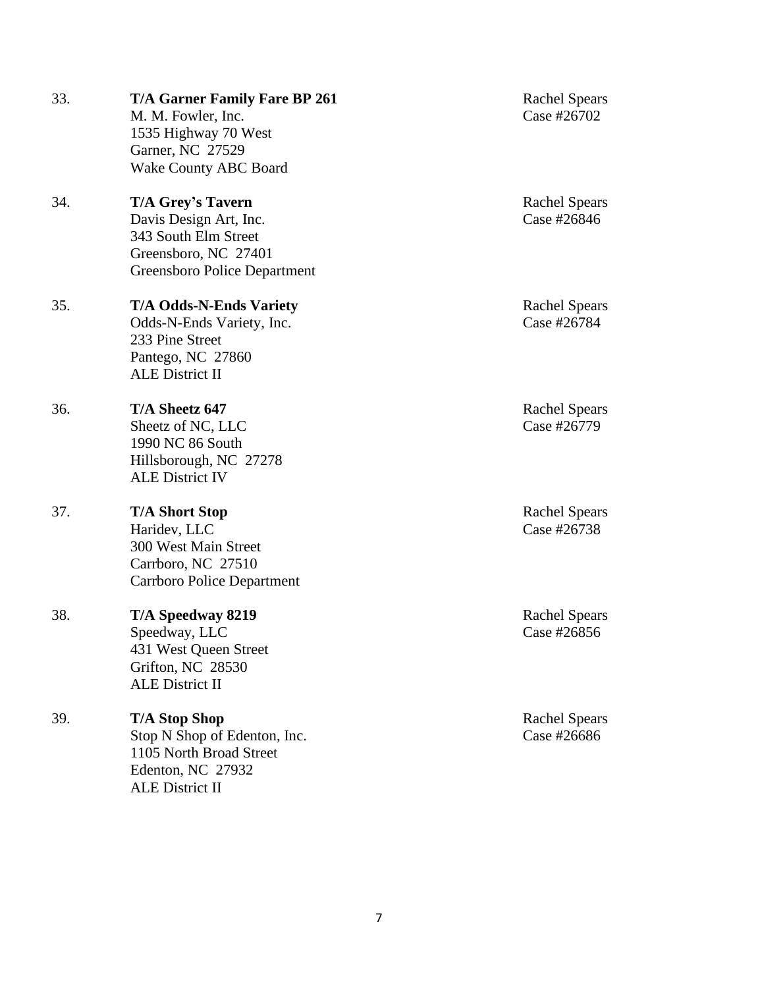| 33. | <b>T/A Garner Family Fare BP 261</b><br>M. M. Fowler, Inc.<br>1535 Highway 70 West<br>Garner, NC 27529<br><b>Wake County ABC Board</b> | <b>Rachel Spears</b><br>Case #26702 |
|-----|----------------------------------------------------------------------------------------------------------------------------------------|-------------------------------------|
| 34. | <b>T/A Grey's Tavern</b><br>Davis Design Art, Inc.<br>343 South Elm Street<br>Greensboro, NC 27401<br>Greensboro Police Department     | <b>Rachel Spears</b><br>Case #26846 |
| 35. | <b>T/A Odds-N-Ends Variety</b><br>Odds-N-Ends Variety, Inc.<br>233 Pine Street<br>Pantego, NC 27860<br><b>ALE District II</b>          | <b>Rachel Spears</b><br>Case #26784 |
| 36. | T/A Sheetz 647<br>Sheetz of NC, LLC<br>1990 NC 86 South<br>Hillsborough, NC 27278<br><b>ALE District IV</b>                            | <b>Rachel Spears</b><br>Case #26779 |
| 37. | <b>T/A Short Stop</b><br>Haridev, LLC<br>300 West Main Street<br>Carrboro, NC 27510<br><b>Carrboro Police Department</b>               | <b>Rachel Spears</b><br>Case #26738 |
| 38. | T/A Speedway 8219<br>Speedway, LLC<br>431 West Queen Street<br>Grifton, NC 28530<br><b>ALE District II</b>                             | <b>Rachel Spears</b><br>Case #26856 |
| 39. | <b>T/A Stop Shop</b><br>Stop N Shop of Edenton, Inc.<br>1105 North Broad Street<br>Edenton, NC 27932<br><b>ALE District II</b>         | <b>Rachel Spears</b><br>Case #26686 |